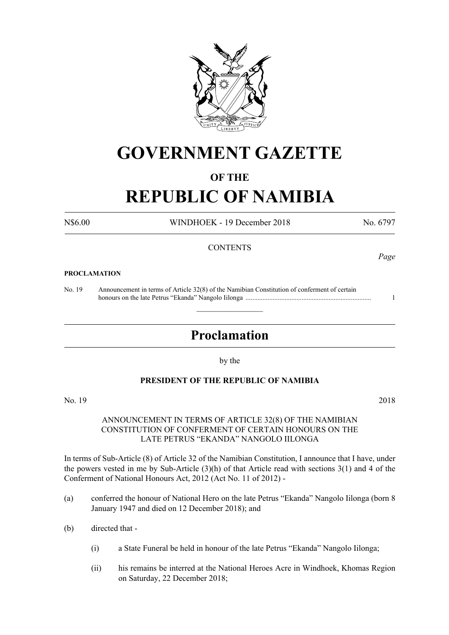

# **GOVERNMENT GAZETTE**

## **OF THE**

# **REPUBLIC OF NAMIBIA**

N\$6.00 WINDHOEK - 19 December 2018 No. 6797

### **CONTENTS**

#### **PROCLAMATION**

No. 19 Announcement in terms of Article 32(8) of the Namibian Constitution of conferment of certain honours on the late Petrus "Ekanda" Nangolo Iilonga .......................................................................... 1

# **Proclamation**

 $\overline{\phantom{a}}$  , where  $\overline{\phantom{a}}$ 

by the

### **PRESIDENT OF THE REPUBLIC OF NAMIBIA**

No. 19 2018

#### ANNOUNCEMENT IN TERMS OF ARTICLE 32(8) OF THE NAMIBIAN CONSTITUTION OF CONFERMENT OF CERTAIN HONOURS ON THE LATE PETRUS "EKANDA" NANGOLO IILONGA

In terms of Sub-Article (8) of Article 32 of the Namibian Constitution, I announce that I have, under the powers vested in me by Sub-Article (3)(h) of that Article read with sections 3(1) and 4 of the Conferment of National Honours Act, 2012 (Act No. 11 of 2012) -

- (a) conferred the honour of National Hero on the late Petrus "Ekanda" Nangolo Iilonga (born 8 January 1947 and died on 12 December 2018); and
- (b) directed that
	- (i) a State Funeral be held in honour of the late Petrus "Ekanda" Nangolo Iilonga;
	- (ii) his remains be interred at the National Heroes Acre in Windhoek, Khomas Region on Saturday, 22 December 2018;

*Page*